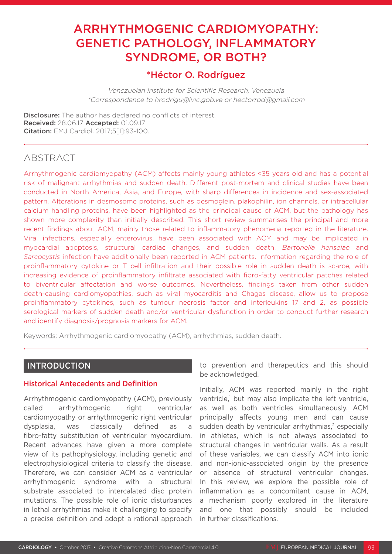# ARRHYTHMOGENIC CARDIOMYOPATHY: GENETIC PATHOLOGY, INFLAMMATORY SYNDROME, OR BOTH?

# \*Héctor O. Rodríguez

Venezuelan Institute for Scientific Research, Venezuela \*Correspondence to hrodrigu@ivic.gob.ve or hectorrod@gmail.com

**Disclosure:** The author has declared no conflicts of interest. Received: 28.06.17 Accepted: 01.09.17 Citation: EMJ Cardiol. 2017;5[1]:93-100.

# ABSTRACT

Arrhythmogenic cardiomyopathy (ACM) affects mainly young athletes <35 years old and has a potential risk of malignant arrhythmias and sudden death. Different post-mortem and clinical studies have been conducted in North America, Asia, and Europe, with sharp differences in incidence and sex-associated pattern. Alterations in desmosome proteins, such as desmoglein, plakophilin, ion channels, or intracellular calcium handling proteins, have been highlighted as the principal cause of ACM, but the pathology has shown more complexity than initially described. This short review summarises the principal and more recent findings about ACM, mainly those related to inflammatory phenomena reported in the literature. Viral infections, especially enterovirus, have been associated with ACM and may be implicated in myocardial apoptosis, structural cardiac changes, and sudden death. *Bartonella henselae* and *Sarcocystis* infection have additionally been reported in ACM patients. Information regarding the role of proinflammatory cytokine or T cell infiltration and their possible role in sudden death is scarce, with increasing evidence of proinflammatory infiltrate associated with fibro-fatty ventricular patches related to biventricular affectation and worse outcomes. Nevertheless, findings taken from other sudden death-causing cardiomyopathies, such as viral myocarditis and Chagas disease, allow us to propose proinflammatory cytokines, such as tumour necrosis factor and interleukins 17 and 2, as possible serological markers of sudden death and/or ventricular dysfunction in order to conduct further research and identify diagnosis/prognosis markers for ACM.

Keywords: Arrhythmogenic cardiomyopathy (ACM), arrhythmias, sudden death.

### INTRODUCTION

#### Historical Antecedents and Definition

Arrhythmogenic cardiomyopathy (ACM), previously called arrhythmogenic right ventricular cardiomyopathy or arrhythmogenic right ventricular dysplasia, was classically defined as a fibro-fatty substitution of ventricular myocardium. Recent advances have given a more complete view of its pathophysiology, including genetic and electrophysiological criteria to classify the disease. Therefore, we can consider ACM as a ventricular arrhythmogenic syndrome with a structural substrate associated to intercalated disc protein mutations. The possible role of ionic disturbances in lethal arrhythmias make it challenging to specify a precise definition and adopt a rational approach

to prevention and therapeutics and this should be acknowledged.

Initially, ACM was reported mainly in the right ventricle,<sup>1</sup> but may also implicate the left ventricle, as well as both ventricles simultaneously. ACM principally affects young men and can cause sudden death by ventricular arrhythmias,<sup>2</sup> especially in athletes, which is not always associated to structural changes in ventricular walls. As a result of these variables, we can classify ACM into ionic and non-ionic-associated origin by the presence or absence of structural ventricular changes. In this review, we explore the possible role of inflammation as a concomitant cause in ACM, a mechanism poorly explored in the literature and one that possibly should be included in further classifications.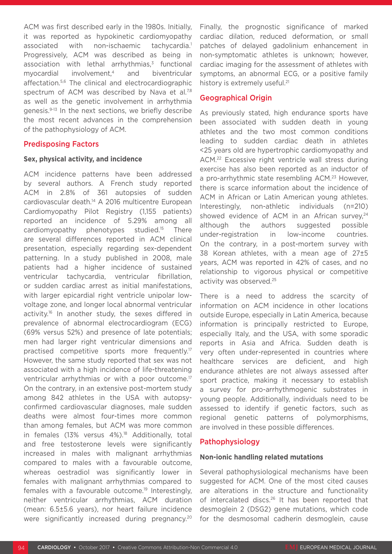ACM was first described early in the 1980s. Initially, it was reported as hypokinetic cardiomyopathy associated with non-ischaemic tachycardia.<sup>1</sup> Progressively, ACM was described as being in association with lethal arrhythmias.<sup>3</sup> functional myocardial involvement,4 and biventricular affectation.5,6 The clinical and electrocardiographic spectrum of ACM was described by Nava et al.<sup>7,8</sup> as well as the genetic involvement in arrhythmia genesis.9-13 In the next sections, we briefly describe the most recent advances in the comprehension of the pathophysiology of ACM.

#### Predisposing Factors

#### **Sex, physical activity, and incidence**

ACM incidence patterns have been addressed by several authors. A French study reported ACM in 2.8% of 361 autopsies of sudden cardiovascular death.14 A 2016 multicentre European Cardiomyopathy Pilot Registry (1,155 patients) reported an incidence of 5.29% among all cardiomyopathy phenotypes studied.15 There are several differences reported in ACM clinical presentation, especially regarding sex-dependent patterning. In a study published in 2008, male patients had a higher incidence of sustained ventricular tachycardia, ventricular fibrillation, or sudden cardiac arrest as initial manifestations, with larger epicardial right ventricle unipolar lowvoltage zone, and longer local abnormal ventricular activity.<sup>16</sup> In another study, the sexes differed in prevalence of abnormal electrocardiogram (ECG) (69% versus 52%) and presence of late potentials; men had larger right ventricular dimensions and practised competitive sports more frequently.<sup>17</sup> However, the same study reported that sex was not associated with a high incidence of life-threatening ventricular arrhythmias or with a poor outcome.<sup>17</sup> On the contrary, in an extensive post-mortem study among 842 athletes in the USA with autopsyconfirmed cardiovascular diagnoses, male sudden deaths were almost four-times more common than among females, but ACM was more common in females (13% versus 4%).<sup>18</sup> Additionally, total and free testosterone levels were significantly increased in males with malignant arrhythmias compared to males with a favourable outcome, whereas oestradiol was significantly lower in females with malignant arrhythmias compared to females with a favourable outcome.19 Interestingly, neither ventricular arrhythmias, ACM duration (mean: 6.5±5.6 years), nor heart failure incidence were significantly increased during pregnancy.<sup>20</sup>

Finally, the prognostic significance of marked cardiac dilation, reduced deformation, or small patches of delayed gadolinium enhancement in non-symptomatic athletes is unknown; however, cardiac imaging for the assessment of athletes with symptoms, an abnormal ECG, or a positive family history is extremely useful.<sup>21</sup>

#### Geographical Origin

As previously stated, high endurance sports have been associated with sudden death in young athletes and the two most common conditions leading to sudden cardiac death in athletes <25 years old are hypertrophic cardiomyopathy and ACM.22 Excessive right ventricle wall stress during exercise has also been reported as an inductor of a pro-arrhythmic state resembling ACM.<sup>23</sup> However, there is scarce information about the incidence of ACM in African or Latin American young athletes. Interestingly, non-athletic individuals (n=210) showed evidence of ACM in an African survey.<sup>24</sup> although the authors suggested possible under-registration in low-income countries. On the contrary, in a post-mortem survey with 38 Korean athletes, with a mean age of 27±5 years, ACM was reported in 42% of cases, and no relationship to vigorous physical or competitive activity was observed.25

There is a need to address the scarcity of information on ACM incidence in other locations outside Europe, especially in Latin America, because information is principally restricted to Europe, especially Italy, and the USA, with some sporadic reports in Asia and Africa. Sudden death is very often under-represented in countries where healthcare services are deficient, and high endurance athletes are not always assessed after sport practice, making it necessary to establish a survey for pro-arrhythmogenic substrates in young people. Additionally, individuals need to be assessed to identify if genetic factors, such as regional genetic patterns of polymorphisms, are involved in these possible differences.

#### Pathophysiology

#### **Non-ionic handling related mutations**

Several pathophysiological mechanisms have been suggested for ACM. One of the most cited causes are alterations in the structure and functionality of intercalated discs.<sup>26</sup> It has been reported that desmoglein 2 (DSG2) gene mutations, which code for the desmosomal cadherin desmoglein, cause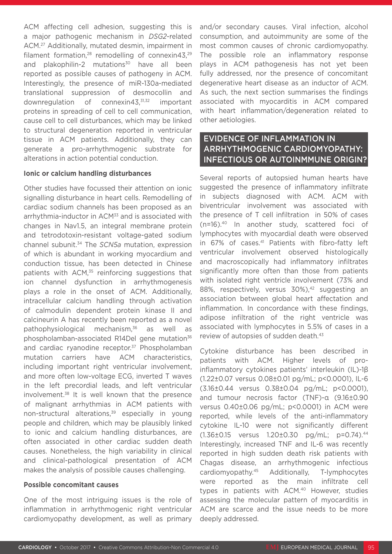ACM affecting cell adhesion, suggesting this is a major pathogenic mechanism in *DSG2*-related ACM.27 Additionally, mutated desmin, impairment in filament formation,<sup>28</sup> remodelling of connexin43,<sup>29</sup> and plakophilin-2 mutations $30$  have all been reported as possible causes of pathogeny in ACM. Interestingly, the presence of miR-130a-mediated translational suppression of desmocollin and downregulation of connexin43,<sup>31,32</sup> important proteins in spreading of cell to cell communication, cause cell to cell disturbances, which may be linked to structural degeneration reported in ventricular tissue in ACM patients. Additionally, they can generate a pro-arrhythmogenic substrate for alterations in action potential conduction.

#### **Ionic or calcium handling disturbances**

Other studies have focussed their attention on ionic signalling disturbance in heart cells. Remodelling of cardiac sodium channels has been proposed as an arrhythmia-inductor in ACM<sup>33</sup> and is associated with changes in Nav1.5, an integral membrane protein and tetrodotoxin-resistant voltage-gated sodium channel subunit.34 The *SCN5a* mutation, expression of which is abundant in working myocardium and conduction tissue, has been detected in Chinese patients with ACM,<sup>35</sup> reinforcing suggestions that ion channel dysfunction in arrhythmogenesis plays a role in the onset of ACM. Additionally, intracellular calcium handling through activation of calmodulin dependent protein kinase II and calcineurin A has recently been reported as a novel pathophysiological mechanism,36 as well as phospholamban-associated R14Del gene mutation<sup>36</sup> and cardiac ryanodine receptor.<sup>37</sup> Phospholamban mutation carriers have ACM characteristics, including important right ventricular involvement, and more often low-voltage ECG, inverted T waves in the left precordial leads, and left ventricular involvement.38 It is well known that the presence of malignant arrhythmias in ACM patients with non-structural alterations,<sup>39</sup> especially in young people and children, which may be plausibly linked to ionic and calcium handling disturbances, are often associated in other cardiac sudden death causes. Nonetheless, the high variability in clinical and clinical-pathological presentation of ACM makes the analysis of possible causes challenging.

#### **Possible concomitant causes**

One of the most intriguing issues is the role of inflammation in arrhythmogenic right ventricular cardiomyopathy development, as well as primary

and/or secondary causes. Viral infection, alcohol consumption, and autoimmunity are some of the most common causes of chronic cardiomyopathy. The possible role an inflammatory response plays in ACM pathogenesis has not yet been fully addressed, nor the presence of concomitant degenerative heart disease as an inductor of ACM. As such, the next section summarises the findings associated with myocarditis in ACM compared with heart inflammation/degeneration related to other aetiologies.

## EVIDENCE OF INFLAMMATION IN ARRHYTHMOGENIC CARDIOMYOPATHY: INFECTIOUS OR AUTOINMMUNE ORIGIN?

Several reports of autopsied human hearts have suggested the presence of inflammatory infiltrate in subjects diagnosed with ACM. ACM with biventricular involvement was associated with the presence of T cell infiltration in 50% of cases (n=16).40 In another study, scattered foci of lymphocytes with myocardial death were observed in 67% of cases.<sup>41</sup> Patients with fibro-fatty left ventricular involvement observed histologically and macroscopically had inflammatory infiltrates significantly more often than those from patients with isolated right ventricle involvement (73% and 88%, respectively, versus 30%),<sup>42</sup> suggesting an association between global heart affectation and inflammation. In concordance with these findings, adipose infiltration of the right ventricle was associated with lymphocytes in 5.5% of cases in a review of autopsies of sudden death.<sup>43</sup>

Cytokine disturbance has been described in patients with ACM. Higher levels of proinflammatory cytokines patients' interleukin (IL)-1β (1.22±0.07 versus 0.08±0.01 pg/mL; p<0.0001), IL-6 (3.16±0.44 versus 0.38±0.04 pg/mL; p<0.0001), and tumour necrosis factor (TNF)-α (9.16±0.90 versus 0.40±0.06 pg/mL; p<0.0001) in ACM were reported, while levels of the anti-inflammatory cytokine IL-10 were not significantly different (1.36±0.15 versus 1.20±0.30 pg/mL; p=0.74).44 Interestingly, increased TNF and IL-6 was recently reported in high sudden death risk patients with Chagas disease, an arrhythmogenic infectious cardiomyopathy.45 Additionally, T-lymphocytes were reported as the main infiltrate cell types in patients with ACM.<sup>40</sup> However, studies assessing the molecular pattern of myocarditis in ACM are scarce and the issue needs to be more deeply addressed.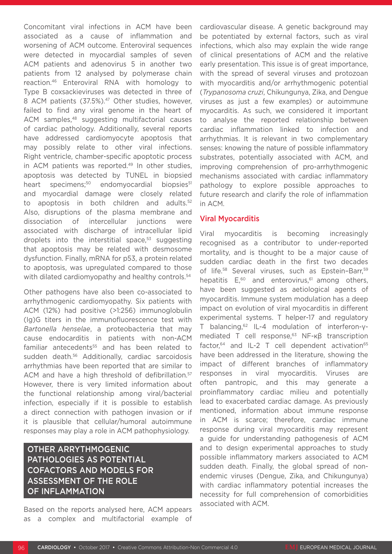Concomitant viral infections in ACM have been associated as a cause of inflammation and worsening of ACM outcome. Enteroviral sequences were detected in myocardial samples of seven ACM patients and adenovirus 5 in another two patients from 12 analysed by polymerase chain reaction.46 Enteroviral RNA with homology to Type B coxsackieviruses was detected in three of 8 ACM patients (37.5%).<sup>47</sup> Other studies, however, failed to find any viral genome in the heart of ACM samples.<sup>48</sup> suggesting multifactorial causes of cardiac pathology. Additionally, several reports have addressed cardiomyocyte apoptosis that may possibly relate to other viral infections. Right ventricle, chamber-specific apoptotic process in ACM patients was reported.<sup>49</sup> In other studies, apoptosis was detected by TUNEL in biopsied heart specimens;<sup>50</sup> endomyocardial biopsies<sup>51</sup> and myocardial damage were closely related to apoptosis in both children and adults.<sup>52</sup> Also, disruptions of the plasma membrane and dissociation of intercellular junctions were associated with discharge of intracellular lipid droplets into the interstitial space, $53$  suggesting that apoptosis may be related with desmosome dysfunction. Finally, mRNA for p53, a protein related to apoptosis, was upregulated compared to those with dilated cardiomyopathy and healthy controls.<sup>54</sup>

Other pathogens have also been co-associated to arrhythmogenic cardiomyopathy. Six patients with ACM (12%) had positive (>1:256) immunoglobulin (Ig)G titers in the immunofluorescence test with *Bartonella henselae*, a proteobacteria that may cause endocarditis in patients with non-ACM familiar antecedents<sup>55</sup> and has been related to sudden death.56 Additionally, cardiac sarcoidosis arrhythmias have been reported that are similar to ACM and have a high threshold of defibrillation.<sup>57</sup> However, there is very limited information about the functional relationship among viral/bacterial infection, especially if it is possible to establish a direct connection with pathogen invasion or if it is plausible that cellular/humoral autoimmune responses may play a role in ACM pathophysiology.

# OTHER ARRYTHMOGENIC PATHOLOGIES AS POTENTIAL COFACTORS AND MODELS FOR ASSESSMENT OF THE ROLE OF INFLAMMATION

Based on the reports analysed here, ACM appears as a complex and multifactorial example of cardiovascular disease. A genetic background may be potentiated by external factors, such as viral infections, which also may explain the wide range of clinical presentations of ACM and the relative early presentation. This issue is of great importance, with the spread of several viruses and protozoan with myocarditis and/or arrhythmogenic potential (*Trypanosoma cruzi*, Chikungunya, Zika, and Dengue viruses as just a few examples) or autoimmune myocarditis. As such, we considered it important to analyse the reported relationship between cardiac inflammation linked to infection and arrhythmias. It is relevant in two complementary senses: knowing the nature of possible inflammatory substrates, potentially associated with ACM, and improving comprehension of pro-arrhythmogenic mechanisms associated with cardiac inflammatory pathology to explore possible approaches to future research and clarify the role of inflammation in ACM.

#### Viral Myocarditis

Viral myocarditis is becoming increasingly recognised as a contributor to under-reported mortality, and is thought to be a major cause of sudden cardiac death in the first two decades of life.<sup>58</sup> Several viruses, such as Epstein-Barr,<sup>59</sup> hepatitis E,<sup>60</sup> and enterovirus,<sup>61</sup> among others, have been suggested as aetiological agents of myocarditis. Immune system modulation has a deep impact on evolution of viral myocarditis in different experimental systems. T helper-17 and regulatory T balancing,62 IL-4 modulation of interferon-γmediated T cell response.<sup>63</sup> NF-κβ transcription factor, $64$  and IL-2 T cell dependent activation $65$ have been addressed in the literature, showing the impact of different branches of inflammatory responses in viral myocarditis. Viruses are often pantropic, and this may generate a proinflammatory cardiac milieu and potentially lead to exacerbated cardiac damage. As previously mentioned, information about immune response in ACM is scarce; therefore, cardiac immune response during viral myocarditis may represent a guide for understanding pathogenesis of ACM and to design experimental approaches to study possible inflammatory markers associated to ACM sudden death. Finally, the global spread of nonendemic viruses (Dengue, Zika, and Chikungunya) with cardiac inflammatory potential increases the necessity for full comprehension of comorbidities associated with ACM.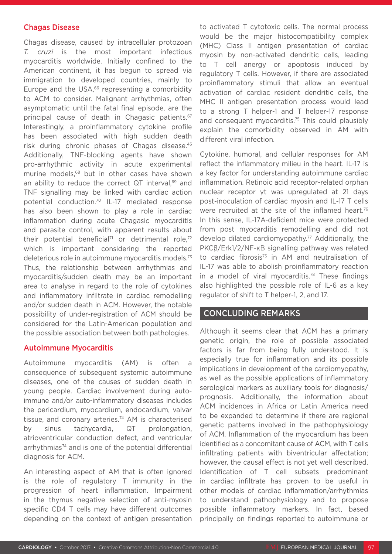#### Chagas Disease

Chagas disease, caused by intracellular protozoan *T. cruzi* is the most important infectious myocarditis worldwide. Initially confined to the American continent, it has begun to spread via immigration to developed countries, mainly to Europe and the USA, $66$  representing a comorbidity to ACM to consider. Malignant arrhythmias, often asymptomatic until the fatal final episode, are the principal cause of death in Chagasic patients.<sup>67</sup> Interestingly, a proinflammatory cytokine profile has been associated with high sudden death risk during chronic phases of Chagas disease.45 Additionally, TNF-blocking agents have shown pro-arrhythmic activity in acute experimental murine models,68 but in other cases have shown an ability to reduce the correct QT interval.<sup>69</sup> and TNF signalling may be linked with cardiac action potential conduction.70 IL-17 mediated response has also been shown to play a role in cardiac inflammation during acute Chagasic myocarditis and parasite control, with apparent results about their potential beneficial<sup>71</sup> or detrimental role,<sup>72</sup> which is important considering the reported deleterious role in autoimmune myocarditis models.73 Thus, the relationship between arrhythmias and myocarditis/sudden death may be an important area to analyse in regard to the role of cytokines and inflammatory infiltrate in cardiac remodelling and/or sudden death in ACM. However, the notable possibility of under-registration of ACM should be considered for the Latin-American population and the possible association between both pathologies.

#### Autoimmune Myocarditis

Autoimmune myocarditis (AM) is often a consequence of subsequent systemic autoimmune diseases, one of the causes of sudden death in young people. Cardiac involvement during autoimmune and/or auto-inflammatory diseases includes the pericardium, myocardium, endocardium, valvar tissue, and coronary arteries.<sup>74</sup> AM is characterised by sinus tachycardia, QT prolongation, atrioventricular conduction defect, and ventricular arrhythmias<sup>74</sup> and is one of the potential differential diagnosis for ACM.

An interesting aspect of AM that is often ignored is the role of regulatory T immunity in the progression of heart inflammation. Impairment in the thymus negative selection of anti-myosin specific CD4 T cells may have different outcomes depending on the context of antigen presentation to activated T cytotoxic cells. The normal process would be the major histocompatibility complex (MHC) Class II antigen presentation of cardiac myosin by non-activated dendritic cells, leading to T cell anergy or apoptosis induced by regulatory T cells. However, if there are associated proinflammatory stimuli that allow an eventual activation of cardiac resident dendritic cells, the MHC II antigen presentation process would lead to a strong T helper-1 and T helper-17 response and consequent myocarditis.<sup>75</sup> This could plausibly explain the comorbidity observed in AM with different viral infection.

Cytokine, humoral, and cellular responses for AM reflect the inflammatory milieu in the heart. IL-17 is a key factor for understanding autoimmune cardiac inflammation. Retinoic acid receptor-related orphan nuclear receptor γt was upregulated at 21 days post-inoculation of cardiac myosin and IL-17 T cells were recruited at the site of the inflamed heart.<sup>76</sup> In this sense, IL-17A-deficient mice were protected from post myocarditis remodelling and did not develop dilated cardiomyopathy.<sup>77</sup> Additionally, the PKCβ/Erk1/2/NF-κB signalling pathway was related to cardiac fibrosis $73$  in AM and neutralisation of IL-17 was able to abolish proinflammatory reaction in a model of viral myocarditis.<sup>78</sup> These findings also highlighted the possible role of IL-6 as a key regulator of shift to T helper-1, 2, and 17.

### CONCLUDING REMARKS

Although it seems clear that ACM has a primary genetic origin, the role of possible associated factors is far from being fully understood. It is especially true for inflammation and its possible implications in development of the cardiomyopathy, as well as the possible applications of inflammatory serological markers as auxiliary tools for diagnosis/ prognosis. Additionally, the information about ACM incidences in Africa or Latin America need to be expanded to determine if there are regional genetic patterns involved in the pathophysiology of ACM. Inflammation of the myocardium has been identified as a concomitant cause of ACM, with T cells infiltrating patients with biventricular affectation; however, the causal effect is not yet well described. Identification of T cell subsets predominant in cardiac infiltrate has proven to be useful in other models of cardiac inflammation/arrhythmias to understand pathophysiology and to propose possible inflammatory markers. In fact, based principally on findings reported to autoimmune or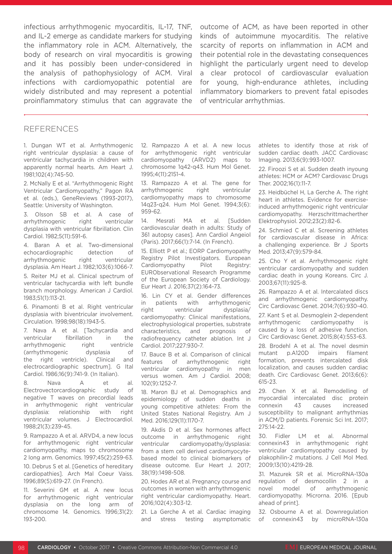infectious arrhythmogenic myocarditis, IL-17, TNF, and IL-2 emerge as candidate markers for studying the inflammatory role in ACM. Alternatively, the body of research on viral myocarditis is growing and it has possibly been under-considered in the analysis of pathophysiology of ACM. Viral infections with cardiomyopathic potential are widely distributed and may represent a potential proinflammatory stimulus that can aggravate the outcome of ACM, as have been reported in other kinds of autoimmune myocarditis. The relative scarcity of reports on inflammation in ACM and their potential role in the devastating consequences highlight the particularly urgent need to develop a clear protocol of cardiovascular evaluation for young, high-endurance athletes, including inflammatory biomarkers to prevent fatal episodes of ventricular arrhythmias.

#### REFERENCES

1. Dungan WT et al. Arrhythmogenic right ventricular dysplasia: a cause of ventricular tachycardia in children with apparently normal hearts. Am Heart J. 1981;102(4):745-50.

2. McNally E et al. "Arrhythmogenic Right Ventricular Cardiomyopathy," Pagon RA et al. (eds.), GeneReviews (1993-2017), Seattle: University of Washington.

3. Olsson SB et al. A case of arrhythmogenic right ventricular dysplasia with ventricular fibrillation. Clin Cardiol. 1982;5(11):591-6.

4. Baran A et al. Two-dimensional echocardiographic detection of arrhythmogenic right ventricular dysplasia. Am Heart J. 1982;103(6):1066-7.

5. Reiter MJ et al. Clinical spectrum of ventricular tachycardia with left bundle branch morphology. American J Cardiol. 1983;51(1):113-21.

6. Pinamonti B et al. Right ventricular dysplasia with biventricular involvement. Circulation. 1998;98(18):1943-5.

7. Nava A et al. [Tachycardia and ventricular fibrillation in the arrhythmogenic right ventricle (arrhythmogenic dysplasia of the right ventricle). Clinical and electrocardiographic spectrum]. G Ital Cardiol. 1986;16(9):741-9. (In Italian).

8. Nava A et al. Electrovectorcardiographic study of negative T waves on precordial leads in arrhythmogenic right ventricular dysplasia: relationship with right ventricular volumes. J Electrocardiol. 1988;21(3):239-45.

9. Rampazzo A et al. ARVD4, a new locus for arrhythmogenic right ventricular cardiomyopathy, maps to chromosome 2 long arm. Genomics. 1997;45(2):259-63.

10. Debrus S et al. [Genetics of hereditary cardiopathies]. Arch Mal Coeur Vaiss. 1996;89(5):619-27. (In French).

11. Severini GM et al. A new locus for arrhythmogenic right ventricular dysplasia on the long arm of chromosome 14. Genomics. 1996;31(2): 193-200.

12. Rampazzo A et al. A new locus for arrhythmogenic right ventricular cardiomyopathy (ARVD2) maps to chromosome 1q42-q43. Hum Mol Genet. 1995;4(11):2151-4.

13. Rampazzo A et al. The gene for arrhythmogenic right ventricular cardiomyopathy maps to chromosome 14q23-q24. Hum Mol Genet. 1994;3(6): 959-62.

14. Mesrati MA et al. [Sudden cardiovascular death in adults: Study of 361 autopsy cases]. Ann Cardiol Angeiol (Paris). 2017;66(1):7-14. (In French).

15. Elliott P et al.; EORP Cardiomyopathy Registry Pilot Investigators. European Cardiomyopathy Pilot Registry: EURObservational Research Programme of the European Society of Cardiology. Eur Heart J. 2016;37(2):164-73.

16. Lin CY et al. Gender differences in patients with arrhythmogenic right ventricular dysplasia/ cardiomyopathy: Clinical manifestations, electrophysiological properties, substrate characteristics, and prognosis of radiofrequency catheter ablation. Int J Cardiol. 2017;227:930-7.

17. Bauce B et al. Comparison of clinical features of arrhythmogenic right ventricular cardiomyopathy in men versus women. Am J Cardiol. 2008; 102(9):1252-7.

18. Maron BJ et al. Demographics and epidemiology of sudden deaths in young competitive athletes: From the United States National Registry. Am J Med. 2016;129(11):1170-7.

19. Akdis D et al. Sex hormones affect outcome in arrhythmogenic right ventricular cardiomyopathy/dysplasia: from a stem cell derived cardiomyocytebased model to clinical biomarkers of disease outcome. Eur Heart J. 2017; 38(19):1498-508.

20. Hodes AR et al. Pregnancy course and outcomes in women with arrhythmogenic right ventricular cardiomyopathy. Heart. 2016;102(4):303-12.

21. La Gerche A et al. Cardiac imaging and stress testing asymptomatic athletes to identify those at risk of sudden cardiac death. JACC Cardiovasc Imaging. 2013;6(9):993-1007.

22. Firoozi S et al. Sudden death inyoung athletes: HCM or ACM? Cardiovasc Drugs Ther. 2002;16(1):11-7.

23. Heidbüchel H, La Gerche A. The right heart in athletes. Evidence for exerciseinduced arrhythmogenic right ventricular cardiomyopathy. Herzschrittmacherther Elektrophysiol. 2012;23(2):82-6.

24. Schmied C et al. Screening athletes for cardiovascular disease in Africa: a challenging experience. Br J Sports Med. 2013;47(9):579-84.

25. Cho Y et al. Arrhythmogenic right ventricular cardiomyopathy and sudden cardiac death in young Koreans. Circ J. 2003;67(11):925-8.

26. Rampazzo A et al. Intercalated discs and arrhythmogenic cardiomyopathy. Circ Cardiovasc Genet. 2014;7(6):930-40.

27. Kant S et al. Desmoglein 2-dependent arrhythmogenic cardiomyopathy is caused by a loss of adhesive function. Circ Cardiovasc Genet. 2015;8(4):553-63.

28. Brodehl A et al. The novel desmin mutant p.A120D impairs filament formation, prevents intercalated disk localization, and causes sudden cardiac death. Circ Cardiovasc Genet. 2013;6(6): 615-23.

29. Chen X et al. Remodelling of myocardial intercalated disc protein connexin 43 causes increased susceptibility to malignant arrhythmias in ACM/D patients. Forensic Sci Int. 2017; 275:14-22.

30. Fidler LM et al. Abnormal connexin43 in arrhythmogenic right ventricular cardiomyopathy caused by plakophilin-2 mutations. J Cell Mol Med. 2009;13(10):4219-28.

31. Mazurek SR et al. MicroRNA-130a regulation of desmocollin 2 in a novel model of arrhythmogenic cardiomyopathy. Microrna. 2016. [Epub ahead of print].

32. Osbourne A et al. Downregulation of connexin43 by microRNA-130a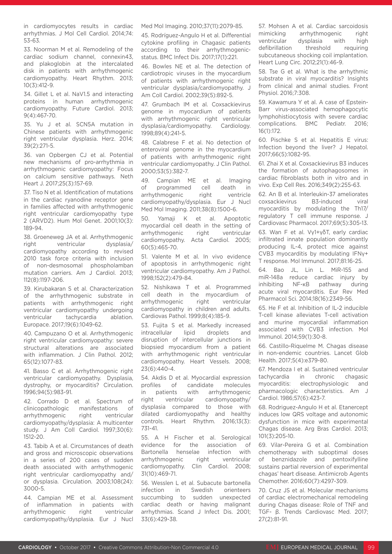in cardiomyocytes results in cardiac arrhythmias. J Mol Cell Cardiol. 2014;74: 53-63.

33. Noorman M et al. Remodeling of the cardiac sodium channel, connexin43, and plakoglobin at the intercalated disk in patients with arrhythmogenic cardiomyopathy. Heart Rhythm. 2013; 10(3):412-9.

34. Gillet L et al. NaV1.5 and interacting proteins in human arrhythmogenic cardiomyopathy. Future Cardiol. 2013; 9(4):467-70.

35. Yu J et al. SCN5A mutation in Chinese patients with arrhythmogenic right ventricular dysplasia. Herz. 2014; 39(2):271-5.

36. van Opbergen CJ et al. Potential new mechanisms of pro-arrhythmia in arrhythmogenic cardiomyopathy: Focus on calcium sensitive pathways. Neth Heart J. 2017;25(3):157-69.

37. Tiso N et al. Identification of mutations in the cardiac ryanodine receptor gene in families affected with arrhythmogenic right ventricular cardiomyopathy type 2 (ARVD2). Hum Mol Genet. 2001;10(3): 189-94.

38. Groeneweg JA et al. Arrhythmogenic right ventricular dysplasia/ cardiomyopathy according to revised 2010 task force criteria with inclusion of non-desmosomal phospholamban mutation carriers. Am J Cardiol. 2013; 112(8):1197-206.

39. Kirubakaran S et al. Characterization of the arrhythmogenic substrate in patients with arrhythmogenic right ventricular cardiomyopathy undergoing ventricular tachycardia ablation. Europace. 2017;19(6):1049-62.

40. Campuzano O et al. Arrhythmogenic right ventricular cardiomyopathy: severe structural alterations are associated with inflammation. J Clin Pathol. 2012; 65(12):1077-83.

41. Basso C et al. Arrhythmogenic right ventricular cardiomyopathy. Dysplasia, dystrophy, or myocarditis? Circulation. 1996;94(5):983-91.

42. Corrado D et al. Spectrum of clinicopathologic manifestations of arrhythmogenic right ventricular cardiomyopathy/dysplasia: A multicenter study. J Am Coll Cardiol. 1997;30(6): 1512-20.

43. Tabib A et al. Circumstances of death and gross and microscopic observations in a series of 200 cases of sudden death associated with arrhythmogenic right ventricular cardiomyopathy and/ or dysplasia. Circulation. 2003;108(24): 3000-5.

44. Campian ME et al. Assessment of inflammation in patients with arrhythmogenic right ventricular cardiomyopathy/dysplasia. Eur J Nucl Med Mol Imaging. 2010;37(11):2079-85.

45. Rodríguez-Angulo H et al. Differential cytokine profiling in Chagasic patients according to their arrhythmogenicstatus. BMC Infect Dis. 2017;17(1):221.

46. Bowles NE et al. The detection of cardiotropic viruses in the myocardium of patients with arrhythmogenic right ventricular dysplasia/cardiomyopathy. J Am Coll Cardiol. 2002;39(5):892-5.

47. Grumbach IM et al. Coxsackievirus genome in myocardium of patients with arrhythmogenic right ventricular dysplasia/cardiomyopathy. Cardiology. 1998;89(4):241-5.

48. Calabrese F et al. No detection of enteroviral genome in the myocardium of patients with arrhythmogenic right ventricular cardiomyopathy. J Clin Pathol. 2000;53(5):382-7.

49. Campian ME et al. Imaging of programmed cell death in arrhythmogenic right ventricle cardiomyopathy/dysplasia. Eur J Nucl Med Mol Imaging. 2011;38(8):1500-6.

50. Yamaji K et al. Apoptotic myocardial cell death in the setting of arrhythmogenic right ventricular cardiomyopathy. Acta Cardiol. 2005; 60(5):465-70.

51. Valente M et al. In vivo evidence of apoptosis in arrhythmogenic right ventricular cardiomyopathy. Am J Pathol. 1998;152(2):479-84.

52. Nishikawa T et al. Programmed cell death in the myocardium of arrhythmogenic right ventricular cardiomyopathy in children and adults. Cardiovas Pathol. 1999;8(4):185-9.

53. Fujita S et al. Markedly increased intracellular lipid droplets and disruption of intercellular junctions in biopsied myocardium from a patient with arrhythmogenic right ventricular cardiomyopathy. Heart Vessels. 2008; 23(6):440-4.

54. Akdis D et al. Myocardial expression profiles of candidate molecules<br>in patients with arrhythmogenic in patients with arrhythmogenic right ventricular cardiomyopathy/ dysplasia compared to those with dilated cardiomyopathy and healthy controls. Heart Rhythm. 2016;13(3): 731-41.

55. A H Fischer et al. Serological evidence for the association of Bartonella henselae infection with arrhythmogenic right ventricular cardiomyopathy. Clin Cardiol. 2008; 31(10):469-71.

56. Wesslen L et al. Subacute bartonella infection in Swedish orienteers succumbing to sudden unexpected cardiac death or having malignant arrhythmias. Scand J Infect Dis. 2001; 33(6):429-38.

57. Mohsen A et al. Cardiac sarcoidosis mimicking arrhythmogenic right ventricular dysplasia with high defibrillation threshold requiring subcutaneous shocking coil implantation. Heart Lung Circ. 2012;21(1):46-9.

58. Tse G et al. What is the arrhythmic substrate in viral myocarditis? Insights from clinical and animal studies. Front Physiol. 2016;7:308.

59. Kawamura Y et al. A case of Epstein-Barr virus-associated hemophagocytic lymphohistiocytosis with severe cardiac complications. BMC Pediatr. 2016; 16(1):172.

60. Pischke S et al. Hepatitis E virus: Infection beyond the liver? J Hepatol. 2017;66(5):1082-95.

61. Zhai X et al. Coxsackievirus B3 induces the formation of autophagosomes in cardiac fibroblasts both in vitro and in vivo. Exp Cell Res. 2016;349(2):255-63.

62. An B et al. Interleukin-37 ameliorates coxsackievirus B3-induced viral myocarditis by modulating the Th17/ regulatory T cell immune response. J Cardiovasc Pharmacol. 2017;69(5):305-13.

63. Wan F et al. Vγ1+γδT, early cardiac infiltrated innate population dominantly producing IL-4, protect mice against CVB3 myocarditis by modulating IFNγ+ T response. Mol Immunol. 2017;81:16-25.

64. Bao JL, Lin L. MiR-155 and miR-148a reduce cardiac injury by<br>inhibiting NF-kB pathway during inhibiting NF-κB pathway during acute viral myocarditis. Eur Rev Med Pharmacol Sci. 2014;18(16):2349-56.

65. He F et al. Inhibition of IL-2 inducible T-cell kinase alleviates T-cell activation and murine myocardial inflammation associated with CVB3 infection. Mol Immunol. 2014;59(1):30-8.

66. Castillo-Riquelme M. Chagas disease in non-endemic countries. Lancet Glob Health. 2017;5(4):e379-80.

67. Mendoza I et al. Sustained ventricular tachycardia in chronic chagasic myocarditis: electrophysiologic and pharmacologic characteristics. Am J Cardiol. 1986;57(6):423-7.

68. Rodriguez-Angulo H et al. Etanercept induces low QRS voltage and autonomic dysfunction in mice with experimental Chagas disease. Arg Bras Cardiol. 2013; 101(3):205-10.

69. Vilar-Pereira G et al. Combination chemotherapy with suboptimal doses of benznidazole and pentoxifylline sustains partial reversion of experimental chagas' heart disease. Antimicrob Agents Chemother. 2016;60(7):4297-309.

70. Cruz JS et al. Molecular mechanisms of cardiac electromechanical remodeling during Chagas disease: Role of TNF and TGF- β. Trends Cardiovasc Med. 2017; 27(2):81-91.